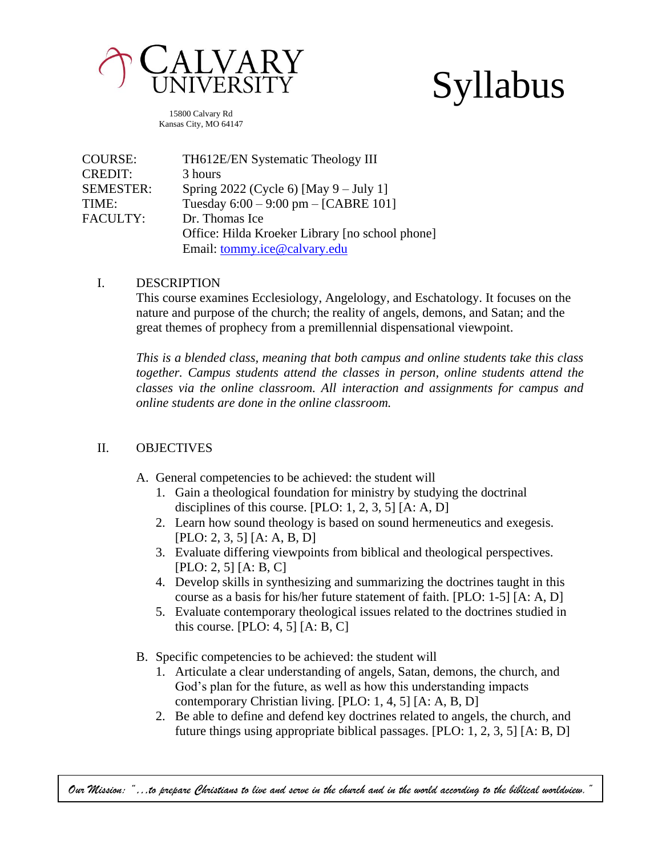

# Syllabus

15800 Calvary Rd Kansas City, MO 64147

| COURSE:          | TH612E/EN Systematic Theology III               |
|------------------|-------------------------------------------------|
| <b>CREDIT:</b>   | 3 hours                                         |
| <b>SEMESTER:</b> | Spring $2022$ (Cycle 6) [May 9 – July 1]        |
| TIME:            | Tuesday $6:00 - 9:00$ pm $-$ [CABRE 101]        |
| <b>FACULTY:</b>  | Dr. Thomas Ice                                  |
|                  | Office: Hilda Kroeker Library [no school phone] |
|                  | Email: tommy.ice@calvary.edu                    |

#### I. DESCRIPTION

This course examines Ecclesiology, Angelology, and Eschatology. It focuses on the nature and purpose of the church; the reality of angels, demons, and Satan; and the great themes of prophecy from a premillennial dispensational viewpoint.

*This is a blended class, meaning that both campus and online students take this class together. Campus students attend the classes in person, online students attend the classes via the online classroom. All interaction and assignments for campus and online students are done in the online classroom.*

## II. OBJECTIVES

- A. General competencies to be achieved: the student will
	- 1. Gain a theological foundation for ministry by studying the doctrinal disciplines of this course.  $[PLO: 1, 2, 3, 5] [A: A, D]$
	- 2. Learn how sound theology is based on sound hermeneutics and exegesis. [PLO: 2, 3, 5] [A: A, B, D]
	- 3. Evaluate differing viewpoints from biblical and theological perspectives. [PLO: 2, 5] [A: B, C]
	- 4. Develop skills in synthesizing and summarizing the doctrines taught in this course as a basis for his/her future statement of faith. [PLO: 1-5] [A: A, D]
	- 5. Evaluate contemporary theological issues related to the doctrines studied in this course. [PLO: 4, 5]  $[A: B, C]$
- B. Specific competencies to be achieved: the student will
	- 1. Articulate a clear understanding of angels, Satan, demons, the church, and God's plan for the future, as well as how this understanding impacts contemporary Christian living. [PLO: 1, 4, 5] [A: A, B, D]
	- 2. Be able to define and defend key doctrines related to angels, the church, and future things using appropriate biblical passages. [PLO: 1, 2, 3, 5] [A: B, D]

*Our Mission: "…to prepare Christians to live and serve in the church and in the world according to the biblical worldview."*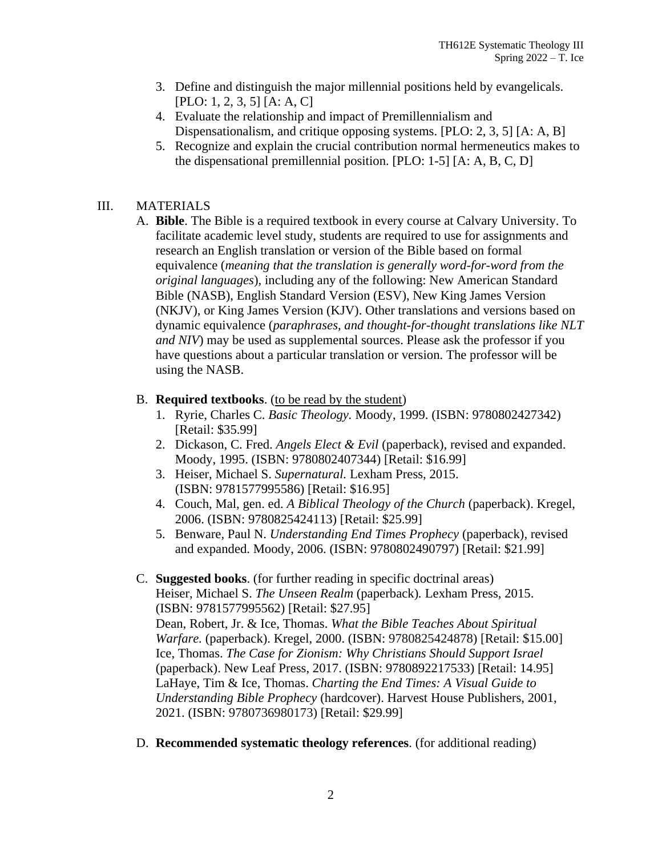- 3. Define and distinguish the major millennial positions held by evangelicals. [PLO: 1, 2, 3, 5] [A: A, C]
- 4. Evaluate the relationship and impact of Premillennialism and Dispensationalism, and critique opposing systems. [PLO: 2, 3, 5] [A: A, B]
- 5. Recognize and explain the crucial contribution normal hermeneutics makes to the dispensational premillennial position. [PLO: 1-5] [A: A, B, C, D]

# III. MATERIALS

A. **Bible**. The Bible is a required textbook in every course at Calvary University. To facilitate academic level study, students are required to use for assignments and research an English translation or version of the Bible based on formal equivalence (*meaning that the translation is generally word-for-word from the original languages*), including any of the following: New American Standard Bible (NASB), English Standard Version (ESV), New King James Version (NKJV), or King James Version (KJV). Other translations and versions based on dynamic equivalence (*paraphrases, and thought-for-thought translations like NLT and NIV*) may be used as supplemental sources. Please ask the professor if you have questions about a particular translation or version. The professor will be using the NASB.

## B. **Required textbooks**. (to be read by the student)

- 1. Ryrie, Charles C. *Basic Theology.* Moody, 1999. (ISBN: 9780802427342) [Retail: \$35.99]
- 2. Dickason, C. Fred. *Angels Elect & Evil* (paperback), revised and expanded. Moody, 1995. (ISBN: 9780802407344) [Retail: \$16.99]
- 3. Heiser, Michael S. *Supernatural.* Lexham Press, 2015. (ISBN: 9781577995586) [Retail: \$16.95]
- 4. Couch, Mal, gen. ed. *A Biblical Theology of the Church* (paperback). Kregel, 2006. (ISBN: 9780825424113) [Retail: \$25.99]
- 5. Benware, Paul N. *Understanding End Times Prophecy* (paperback), revised and expanded. Moody, 2006. (ISBN: 9780802490797) [Retail: \$21.99]

## C. **Suggested books**. (for further reading in specific doctrinal areas)

Heiser, Michael S. *The Unseen Realm* (paperback)*.* Lexham Press, 2015. (ISBN: 9781577995562) [Retail: \$27.95]

Dean, Robert, Jr. & Ice, Thomas. *What the Bible Teaches About Spiritual Warfare.* (paperback). Kregel, 2000. (ISBN: 9780825424878) [Retail: \$15.00] Ice, Thomas. *The Case for Zionism: Why Christians Should Support Israel* (paperback). New Leaf Press, 2017. (ISBN: 9780892217533) [Retail: 14.95] LaHaye, Tim & Ice, Thomas. *Charting the End Times: A Visual Guide to Understanding Bible Prophecy* (hardcover). Harvest House Publishers, 2001, 2021. (ISBN: 9780736980173) [Retail: \$29.99]

D. **Recommended systematic theology references**. (for additional reading)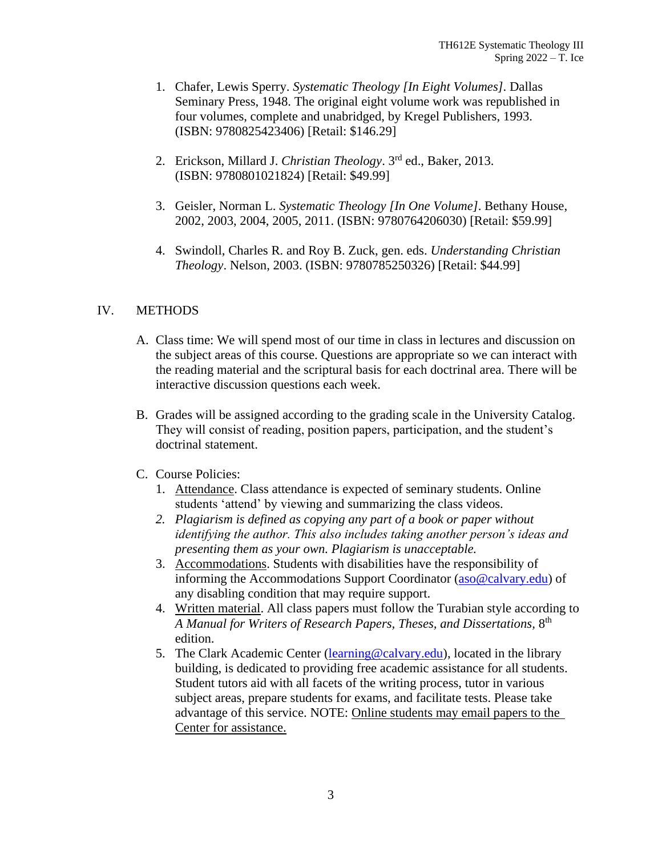- 1. Chafer, Lewis Sperry. *Systematic Theology [In Eight Volumes]*. Dallas Seminary Press, 1948. The original eight volume work was republished in four volumes, complete and unabridged, by Kregel Publishers, 1993. (ISBN: 9780825423406) [Retail: \$146.29]
- 2. Erickson, Millard J. *Christian Theology*. 3rd ed., Baker, 2013. (ISBN: 9780801021824) [Retail: \$49.99]
- 3. Geisler, Norman L. *Systematic Theology [In One Volume]*. Bethany House, 2002, 2003, 2004, 2005, 2011. (ISBN: 9780764206030) [Retail: \$59.99]
- 4. Swindoll, Charles R. and Roy B. Zuck, gen. eds. *Understanding Christian Theology*. Nelson, 2003. (ISBN: 9780785250326) [Retail: \$44.99]

#### IV. METHODS

- A. Class time: We will spend most of our time in class in lectures and discussion on the subject areas of this course. Questions are appropriate so we can interact with the reading material and the scriptural basis for each doctrinal area. There will be interactive discussion questions each week.
- B. Grades will be assigned according to the grading scale in the University Catalog. They will consist of reading, position papers, participation, and the student's doctrinal statement.

#### C. Course Policies:

- 1. Attendance. Class attendance is expected of seminary students. Online students 'attend' by viewing and summarizing the class videos.
- *2. Plagiarism is defined as copying any part of a book or paper without identifying the author. This also includes taking another person's ideas and presenting them as your own. Plagiarism is unacceptable.*
- 3. Accommodations. Students with disabilities have the responsibility of informing the Accommodations Support Coordinator [\(aso@calvary.edu\)](mailto:aso@calvary.edu) of any disabling condition that may require support.
- 4. Written material. All class papers must follow the Turabian style according to A Manual for Writers of Research Papers, Theses, and Dissertations,  $8^{\text{th}}$ edition.
- 5. The Clark Academic Center [\(learning@calvary.edu\)](mailto:learning@calvary.edu), located in the library building, is dedicated to providing free academic assistance for all students. Student tutors aid with all facets of the writing process, tutor in various subject areas, prepare students for exams, and facilitate tests. Please take advantage of this service. NOTE: Online students may email papers to the Center for assistance.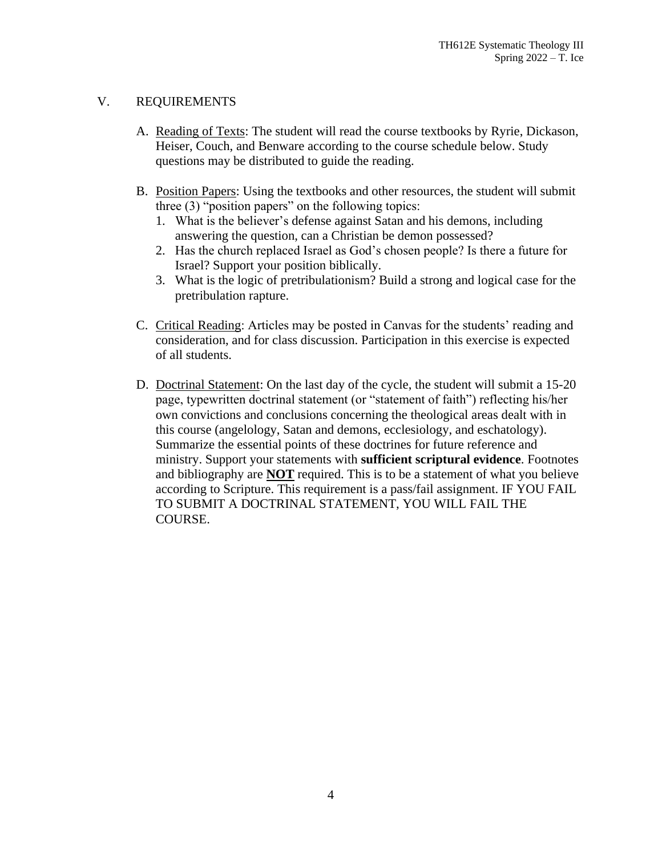#### V. REQUIREMENTS

- A. Reading of Texts: The student will read the course textbooks by Ryrie, Dickason, Heiser, Couch, and Benware according to the course schedule below. Study questions may be distributed to guide the reading.
- B. Position Papers: Using the textbooks and other resources, the student will submit three (3) "position papers" on the following topics:
	- 1. What is the believer's defense against Satan and his demons, including answering the question, can a Christian be demon possessed?
	- 2. Has the church replaced Israel as God's chosen people? Is there a future for Israel? Support your position biblically.
	- 3. What is the logic of pretribulationism? Build a strong and logical case for the pretribulation rapture.
- C. Critical Reading: Articles may be posted in Canvas for the students' reading and consideration, and for class discussion. Participation in this exercise is expected of all students.
- D. Doctrinal Statement: On the last day of the cycle, the student will submit a 15-20 page, typewritten doctrinal statement (or "statement of faith") reflecting his/her own convictions and conclusions concerning the theological areas dealt with in this course (angelology, Satan and demons, ecclesiology, and eschatology). Summarize the essential points of these doctrines for future reference and ministry. Support your statements with **sufficient scriptural evidence**. Footnotes and bibliography are **NOT** required. This is to be a statement of what you believe according to Scripture. This requirement is a pass/fail assignment. IF YOU FAIL TO SUBMIT A DOCTRINAL STATEMENT, YOU WILL FAIL THE COURSE.